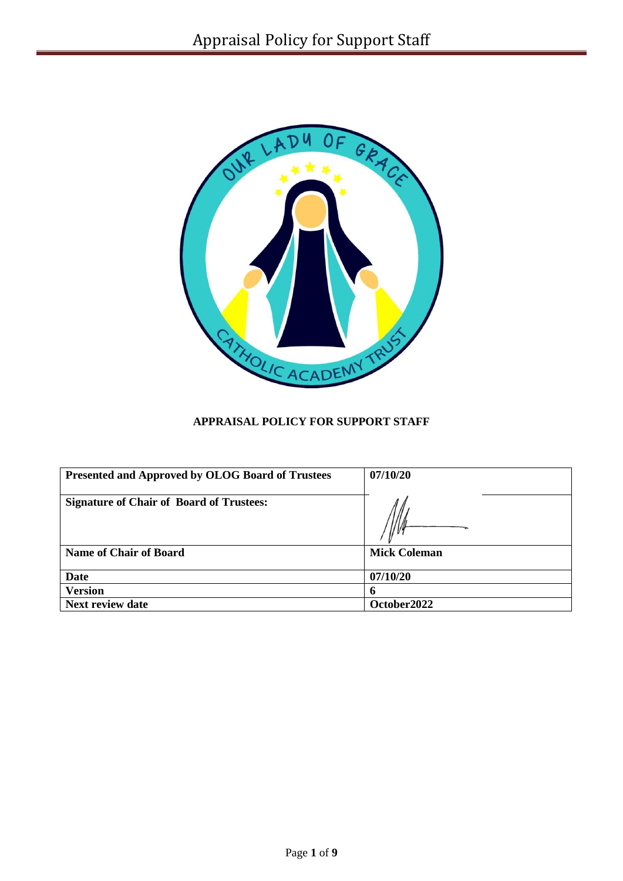

# **APPRAISAL POLICY FOR SUPPORT STAFF**

| <b>Presented and Approved by OLOG Board of Trustees</b> | 07/10/20            |
|---------------------------------------------------------|---------------------|
| <b>Signature of Chair of Board of Trustees:</b>         |                     |
| <b>Name of Chair of Board</b>                           | <b>Mick Coleman</b> |
| Date                                                    | 07/10/20            |
| <b>Version</b>                                          |                     |
| <b>Next review date</b>                                 | October2022         |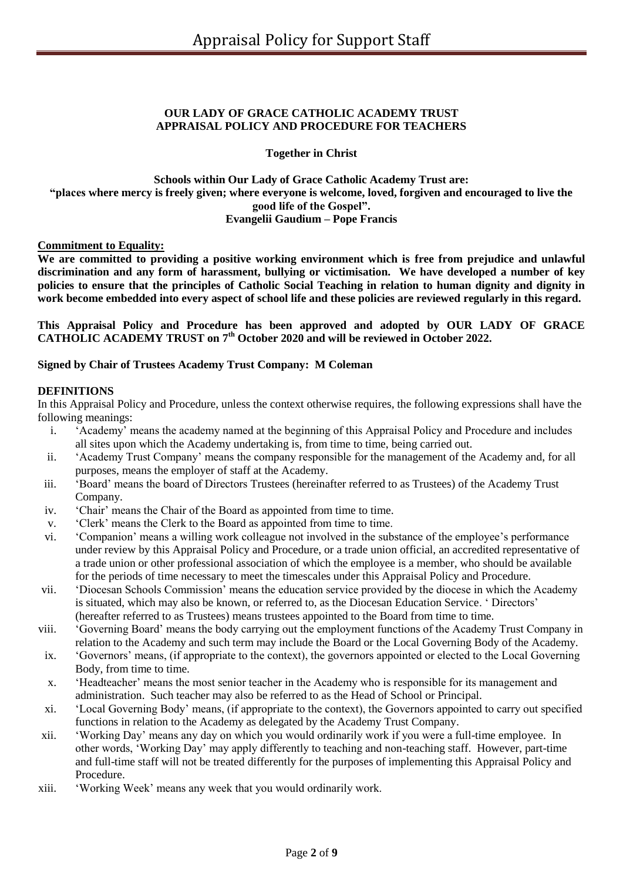### **OUR LADY OF GRACE CATHOLIC ACADEMY TRUST APPRAISAL POLICY AND PROCEDURE FOR TEACHERS**

**Together in Christ**

### **Schools within Our Lady of Grace Catholic Academy Trust are: "places where mercy is freely given; where everyone is welcome, loved, forgiven and encouraged to live the good life of the Gospel". Evangelii Gaudium – Pope Francis**

### **Commitment to Equality:**

**We are committed to providing a positive working environment which is free from prejudice and unlawful discrimination and any form of harassment, bullying or victimisation. We have developed a number of key policies to ensure that the principles of Catholic Social Teaching in relation to human dignity and dignity in work become embedded into every aspect of school life and these policies are reviewed regularly in this regard.**

#### **This Appraisal Policy and Procedure has been approved and adopted by OUR LADY OF GRACE CATHOLIC ACADEMY TRUST on 7th October 2020 and will be reviewed in October 2022.**

### **Signed by Chair of Trustees Academy Trust Company: M Coleman**

### **DEFINITIONS**

In this Appraisal Policy and Procedure, unless the context otherwise requires, the following expressions shall have the following meanings:

- i. 'Academy' means the academy named at the beginning of this Appraisal Policy and Procedure and includes all sites upon which the Academy undertaking is, from time to time, being carried out.
- ii. 'Academy Trust Company' means the company responsible for the management of the Academy and, for all purposes, means the employer of staff at the Academy.
- iii. 'Board' means the board of Directors Trustees (hereinafter referred to as Trustees) of the Academy Trust Company.
- iv. 'Chair' means the Chair of the Board as appointed from time to time.
- v. 'Clerk' means the Clerk to the Board as appointed from time to time.
- vi. 'Companion' means a willing work colleague not involved in the substance of the employee's performance under review by this Appraisal Policy and Procedure, or a trade union official, an accredited representative of a trade union or other professional association of which the employee is a member, who should be available for the periods of time necessary to meet the timescales under this Appraisal Policy and Procedure.
- vii. 'Diocesan Schools Commission' means the education service provided by the diocese in which the Academy is situated, which may also be known, or referred to, as the Diocesan Education Service. ' Directors' (hereafter referred to as Trustees) means trustees appointed to the Board from time to time.
- viii. 'Governing Board' means the body carrying out the employment functions of the Academy Trust Company in relation to the Academy and such term may include the Board or the Local Governing Body of the Academy.
- ix. 'Governors' means, (if appropriate to the context), the governors appointed or elected to the Local Governing Body, from time to time.
- x. 'Headteacher' means the most senior teacher in the Academy who is responsible for its management and administration. Such teacher may also be referred to as the Head of School or Principal.
- xi. 'Local Governing Body' means, (if appropriate to the context), the Governors appointed to carry out specified functions in relation to the Academy as delegated by the Academy Trust Company.
- xii. 'Working Day' means any day on which you would ordinarily work if you were a full-time employee. In other words, 'Working Day' may apply differently to teaching and non-teaching staff. However, part-time and full-time staff will not be treated differently for the purposes of implementing this Appraisal Policy and Procedure.
- xiii. 'Working Week' means any week that you would ordinarily work.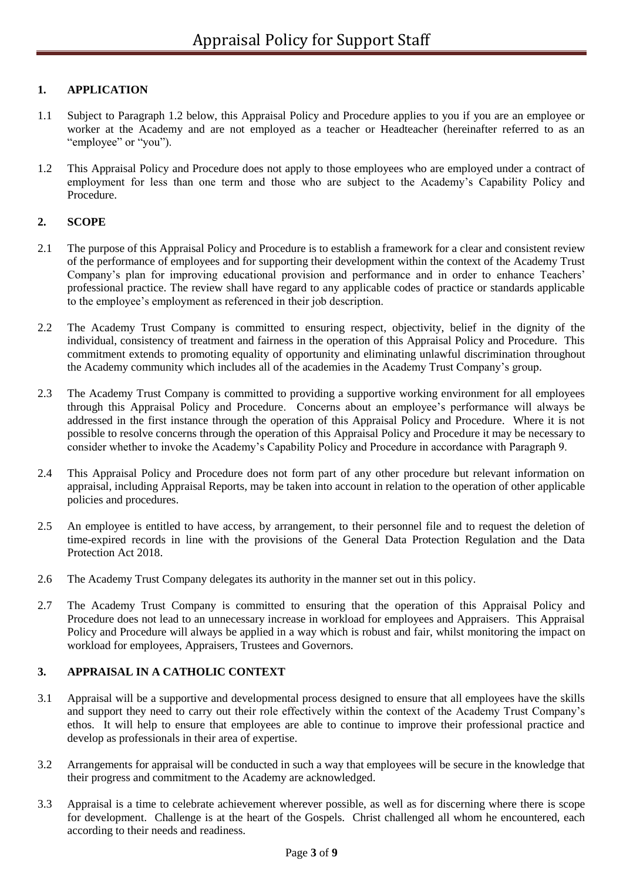# **1. APPLICATION**

- 1.1 Subject to Paragraph 1.2 below, this Appraisal Policy and Procedure applies to you if you are an employee or worker at the Academy and are not employed as a teacher or Headteacher (hereinafter referred to as an "employee" or "you").
- 1.2 This Appraisal Policy and Procedure does not apply to those employees who are employed under a contract of employment for less than one term and those who are subject to the Academy's Capability Policy and Procedure.

# **2. SCOPE**

- 2.1 The purpose of this Appraisal Policy and Procedure is to establish a framework for a clear and consistent review of the performance of employees and for supporting their development within the context of the Academy Trust Company's plan for improving educational provision and performance and in order to enhance Teachers' professional practice. The review shall have regard to any applicable codes of practice or standards applicable to the employee's employment as referenced in their job description.
- 2.2 The Academy Trust Company is committed to ensuring respect, objectivity, belief in the dignity of the individual, consistency of treatment and fairness in the operation of this Appraisal Policy and Procedure. This commitment extends to promoting equality of opportunity and eliminating unlawful discrimination throughout the Academy community which includes all of the academies in the Academy Trust Company's group.
- 2.3 The Academy Trust Company is committed to providing a supportive working environment for all employees through this Appraisal Policy and Procedure. Concerns about an employee's performance will always be addressed in the first instance through the operation of this Appraisal Policy and Procedure. Where it is not possible to resolve concerns through the operation of this Appraisal Policy and Procedure it may be necessary to consider whether to invoke the Academy's Capability Policy and Procedure in accordance with Paragraph 9.
- 2.4 This Appraisal Policy and Procedure does not form part of any other procedure but relevant information on appraisal, including Appraisal Reports, may be taken into account in relation to the operation of other applicable policies and procedures.
- 2.5 An employee is entitled to have access, by arrangement, to their personnel file and to request the deletion of time-expired records in line with the provisions of the General Data Protection Regulation and the Data Protection Act 2018.
- 2.6 The Academy Trust Company delegates its authority in the manner set out in this policy.
- 2.7 The Academy Trust Company is committed to ensuring that the operation of this Appraisal Policy and Procedure does not lead to an unnecessary increase in workload for employees and Appraisers. This Appraisal Policy and Procedure will always be applied in a way which is robust and fair, whilst monitoring the impact on workload for employees, Appraisers, Trustees and Governors.

# **3. APPRAISAL IN A CATHOLIC CONTEXT**

- 3.1 Appraisal will be a supportive and developmental process designed to ensure that all employees have the skills and support they need to carry out their role effectively within the context of the Academy Trust Company's ethos. It will help to ensure that employees are able to continue to improve their professional practice and develop as professionals in their area of expertise.
- 3.2 Arrangements for appraisal will be conducted in such a way that employees will be secure in the knowledge that their progress and commitment to the Academy are acknowledged.
- 3.3 Appraisal is a time to celebrate achievement wherever possible, as well as for discerning where there is scope for development. Challenge is at the heart of the Gospels. Christ challenged all whom he encountered, each according to their needs and readiness.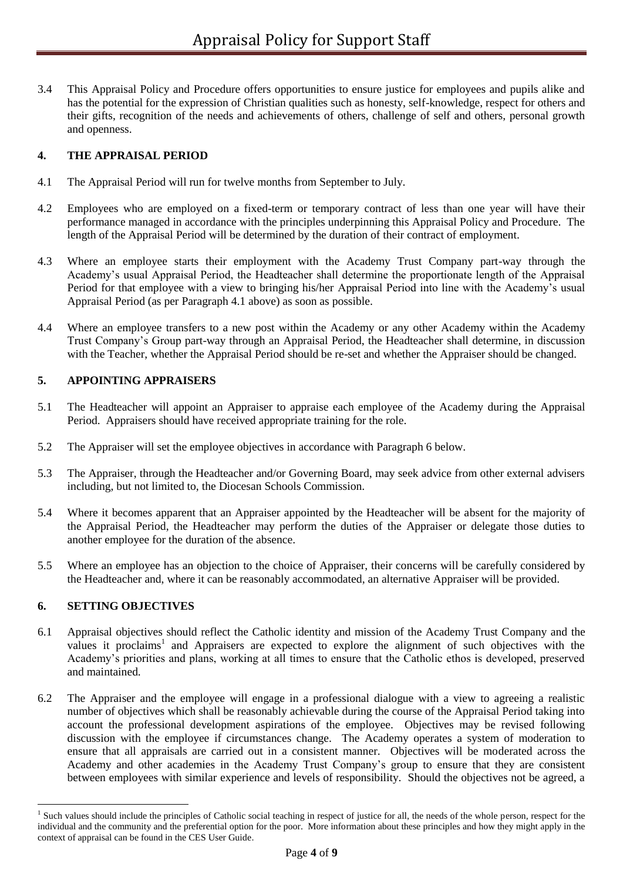3.4 This Appraisal Policy and Procedure offers opportunities to ensure justice for employees and pupils alike and has the potential for the expression of Christian qualities such as honesty, self-knowledge, respect for others and their gifts, recognition of the needs and achievements of others, challenge of self and others, personal growth and openness.

# **4. THE APPRAISAL PERIOD**

- 4.1 The Appraisal Period will run for twelve months from September to July.
- 4.2 Employees who are employed on a fixed-term or temporary contract of less than one year will have their performance managed in accordance with the principles underpinning this Appraisal Policy and Procedure. The length of the Appraisal Period will be determined by the duration of their contract of employment.
- 4.3 Where an employee starts their employment with the Academy Trust Company part-way through the Academy's usual Appraisal Period, the Headteacher shall determine the proportionate length of the Appraisal Period for that employee with a view to bringing his/her Appraisal Period into line with the Academy's usual Appraisal Period (as per Paragraph 4.1 above) as soon as possible.
- 4.4 Where an employee transfers to a new post within the Academy or any other Academy within the Academy Trust Company's Group part-way through an Appraisal Period, the Headteacher shall determine, in discussion with the Teacher, whether the Appraisal Period should be re-set and whether the Appraiser should be changed.

### **5. APPOINTING APPRAISERS**

- 5.1 The Headteacher will appoint an Appraiser to appraise each employee of the Academy during the Appraisal Period. Appraisers should have received appropriate training for the role.
- 5.2 The Appraiser will set the employee objectives in accordance with Paragraph 6 below.
- 5.3 The Appraiser, through the Headteacher and/or Governing Board, may seek advice from other external advisers including, but not limited to, the Diocesan Schools Commission.
- 5.4 Where it becomes apparent that an Appraiser appointed by the Headteacher will be absent for the majority of the Appraisal Period, the Headteacher may perform the duties of the Appraiser or delegate those duties to another employee for the duration of the absence.
- 5.5 Where an employee has an objection to the choice of Appraiser, their concerns will be carefully considered by the Headteacher and, where it can be reasonably accommodated, an alternative Appraiser will be provided.

#### **6. SETTING OBJECTIVES**

1

- 6.1 Appraisal objectives should reflect the Catholic identity and mission of the Academy Trust Company and the values it proclaims<sup>1</sup> and Appraisers are expected to explore the alignment of such objectives with the Academy's priorities and plans, working at all times to ensure that the Catholic ethos is developed, preserved and maintained.
- 6.2 The Appraiser and the employee will engage in a professional dialogue with a view to agreeing a realistic number of objectives which shall be reasonably achievable during the course of the Appraisal Period taking into account the professional development aspirations of the employee. Objectives may be revised following discussion with the employee if circumstances change. The Academy operates a system of moderation to ensure that all appraisals are carried out in a consistent manner. Objectives will be moderated across the Academy and other academies in the Academy Trust Company's group to ensure that they are consistent between employees with similar experience and levels of responsibility. Should the objectives not be agreed, a

<sup>&</sup>lt;sup>1</sup> Such values should include the principles of Catholic social teaching in respect of justice for all, the needs of the whole person, respect for the individual and the community and the preferential option for the poor. More information about these principles and how they might apply in the context of appraisal can be found in the CES User Guide.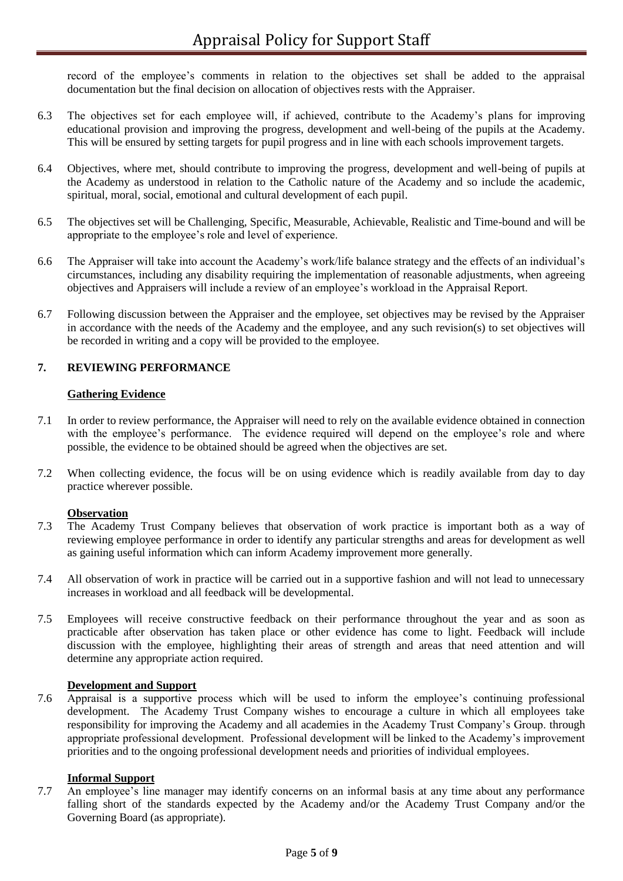record of the employee's comments in relation to the objectives set shall be added to the appraisal documentation but the final decision on allocation of objectives rests with the Appraiser.

- 6.3 The objectives set for each employee will, if achieved, contribute to the Academy's plans for improving educational provision and improving the progress, development and well-being of the pupils at the Academy. This will be ensured by setting targets for pupil progress and in line with each schools improvement targets.
- 6.4 Objectives, where met, should contribute to improving the progress, development and well-being of pupils at the Academy as understood in relation to the Catholic nature of the Academy and so include the academic, spiritual, moral, social, emotional and cultural development of each pupil.
- 6.5 The objectives set will be Challenging, Specific, Measurable, Achievable, Realistic and Time-bound and will be appropriate to the employee's role and level of experience.
- 6.6 The Appraiser will take into account the Academy's work/life balance strategy and the effects of an individual's circumstances, including any disability requiring the implementation of reasonable adjustments, when agreeing objectives and Appraisers will include a review of an employee's workload in the Appraisal Report.
- 6.7 Following discussion between the Appraiser and the employee, set objectives may be revised by the Appraiser in accordance with the needs of the Academy and the employee, and any such revision(s) to set objectives will be recorded in writing and a copy will be provided to the employee.

# **7. REVIEWING PERFORMANCE**

# **Gathering Evidence**

- 7.1 In order to review performance, the Appraiser will need to rely on the available evidence obtained in connection with the employee's performance. The evidence required will depend on the employee's role and where possible, the evidence to be obtained should be agreed when the objectives are set.
- 7.2 When collecting evidence, the focus will be on using evidence which is readily available from day to day practice wherever possible.

#### **Observation**

- 7.3 The Academy Trust Company believes that observation of work practice is important both as a way of reviewing employee performance in order to identify any particular strengths and areas for development as well as gaining useful information which can inform Academy improvement more generally.
- 7.4 All observation of work in practice will be carried out in a supportive fashion and will not lead to unnecessary increases in workload and all feedback will be developmental.
- 7.5 Employees will receive constructive feedback on their performance throughout the year and as soon as practicable after observation has taken place or other evidence has come to light. Feedback will include discussion with the employee, highlighting their areas of strength and areas that need attention and will determine any appropriate action required.

#### **Development and Support**

7.6 Appraisal is a supportive process which will be used to inform the employee's continuing professional development. The Academy Trust Company wishes to encourage a culture in which all employees take responsibility for improving the Academy and all academies in the Academy Trust Company's Group. through appropriate professional development. Professional development will be linked to the Academy's improvement priorities and to the ongoing professional development needs and priorities of individual employees.

# **Informal Support**

7.7 An employee's line manager may identify concerns on an informal basis at any time about any performance falling short of the standards expected by the Academy and/or the Academy Trust Company and/or the Governing Board (as appropriate).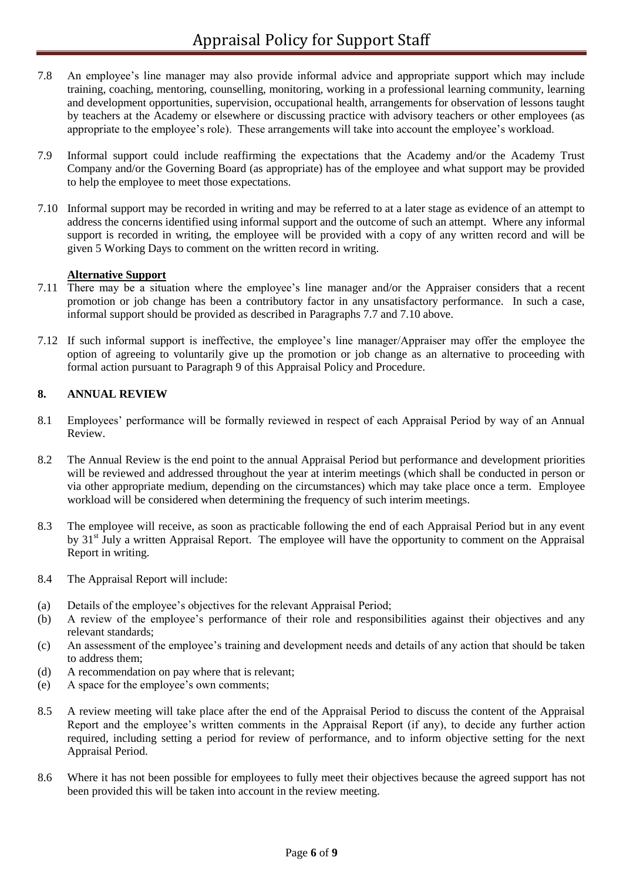- 7.8 An employee's line manager may also provide informal advice and appropriate support which may include training, coaching, mentoring, counselling, monitoring, working in a professional learning community, learning and development opportunities, supervision, occupational health, arrangements for observation of lessons taught by teachers at the Academy or elsewhere or discussing practice with advisory teachers or other employees (as appropriate to the employee's role). These arrangements will take into account the employee's workload.
- 7.9 Informal support could include reaffirming the expectations that the Academy and/or the Academy Trust Company and/or the Governing Board (as appropriate) has of the employee and what support may be provided to help the employee to meet those expectations.
- 7.10 Informal support may be recorded in writing and may be referred to at a later stage as evidence of an attempt to address the concerns identified using informal support and the outcome of such an attempt. Where any informal support is recorded in writing, the employee will be provided with a copy of any written record and will be given 5 Working Days to comment on the written record in writing.

### **Alternative Support**

- 7.11 There may be a situation where the employee's line manager and/or the Appraiser considers that a recent promotion or job change has been a contributory factor in any unsatisfactory performance. In such a case, informal support should be provided as described in Paragraphs 7.7 and 7.10 above.
- 7.12 If such informal support is ineffective, the employee's line manager/Appraiser may offer the employee the option of agreeing to voluntarily give up the promotion or job change as an alternative to proceeding with formal action pursuant to Paragraph 9 of this Appraisal Policy and Procedure.

### **8. ANNUAL REVIEW**

- 8.1 Employees' performance will be formally reviewed in respect of each Appraisal Period by way of an Annual Review.
- 8.2 The Annual Review is the end point to the annual Appraisal Period but performance and development priorities will be reviewed and addressed throughout the year at interim meetings (which shall be conducted in person or via other appropriate medium, depending on the circumstances) which may take place once a term. Employee workload will be considered when determining the frequency of such interim meetings.
- 8.3 The employee will receive, as soon as practicable following the end of each Appraisal Period but in any event by 31<sup>st</sup> July a written Appraisal Report. The employee will have the opportunity to comment on the Appraisal Report in writing.
- 8.4 The Appraisal Report will include:
- (a) Details of the employee's objectives for the relevant Appraisal Period;
- (b) A review of the employee's performance of their role and responsibilities against their objectives and any relevant standards;
- (c) An assessment of the employee's training and development needs and details of any action that should be taken to address them;
- (d) A recommendation on pay where that is relevant;
- (e) A space for the employee's own comments;
- 8.5 A review meeting will take place after the end of the Appraisal Period to discuss the content of the Appraisal Report and the employee's written comments in the Appraisal Report (if any), to decide any further action required, including setting a period for review of performance, and to inform objective setting for the next Appraisal Period.
- 8.6 Where it has not been possible for employees to fully meet their objectives because the agreed support has not been provided this will be taken into account in the review meeting.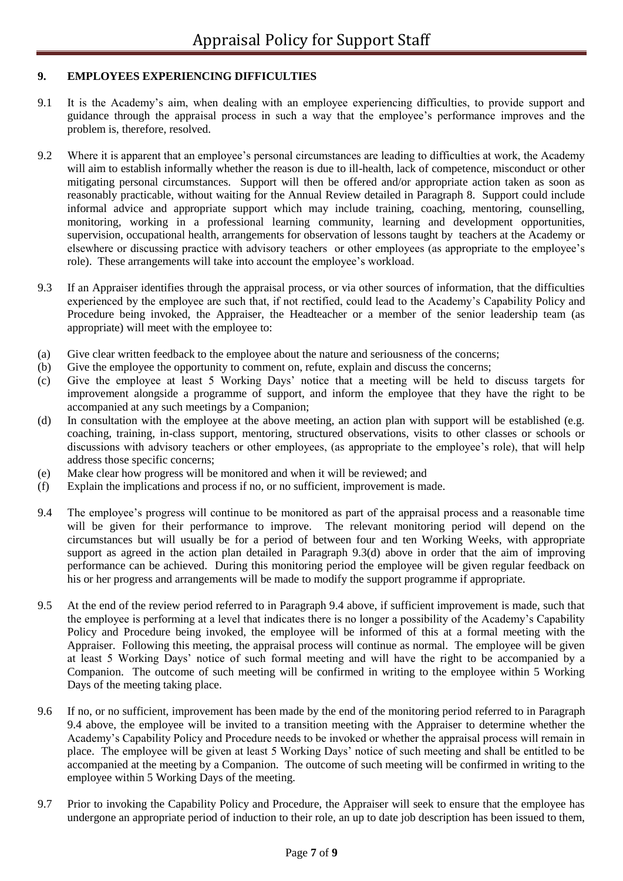# **9. EMPLOYEES EXPERIENCING DIFFICULTIES**

- 9.1 It is the Academy's aim, when dealing with an employee experiencing difficulties, to provide support and guidance through the appraisal process in such a way that the employee's performance improves and the problem is, therefore, resolved.
- 9.2 Where it is apparent that an employee's personal circumstances are leading to difficulties at work, the Academy will aim to establish informally whether the reason is due to ill-health, lack of competence, misconduct or other mitigating personal circumstances. Support will then be offered and/or appropriate action taken as soon as reasonably practicable, without waiting for the Annual Review detailed in Paragraph 8. Support could include informal advice and appropriate support which may include training, coaching, mentoring, counselling, monitoring, working in a professional learning community, learning and development opportunities, supervision, occupational health, arrangements for observation of lessons taught by teachers at the Academy or elsewhere or discussing practice with advisory teachers or other employees (as appropriate to the employee's role). These arrangements will take into account the employee's workload.
- 9.3 If an Appraiser identifies through the appraisal process, or via other sources of information, that the difficulties experienced by the employee are such that, if not rectified, could lead to the Academy's Capability Policy and Procedure being invoked, the Appraiser, the Headteacher or a member of the senior leadership team (as appropriate) will meet with the employee to:
- (a) Give clear written feedback to the employee about the nature and seriousness of the concerns;
- (b) Give the employee the opportunity to comment on, refute, explain and discuss the concerns;
- (c) Give the employee at least 5 Working Days' notice that a meeting will be held to discuss targets for improvement alongside a programme of support, and inform the employee that they have the right to be accompanied at any such meetings by a Companion;
- (d) In consultation with the employee at the above meeting, an action plan with support will be established (e.g. coaching, training, in-class support, mentoring, structured observations, visits to other classes or schools or discussions with advisory teachers or other employees, (as appropriate to the employee's role), that will help address those specific concerns;
- (e) Make clear how progress will be monitored and when it will be reviewed; and
- (f) Explain the implications and process if no, or no sufficient, improvement is made.
- 9.4 The employee's progress will continue to be monitored as part of the appraisal process and a reasonable time will be given for their performance to improve. The relevant monitoring period will depend on the circumstances but will usually be for a period of between four and ten Working Weeks, with appropriate support as agreed in the action plan detailed in Paragraph 9.3(d) above in order that the aim of improving performance can be achieved. During this monitoring period the employee will be given regular feedback on his or her progress and arrangements will be made to modify the support programme if appropriate.
- 9.5 At the end of the review period referred to in Paragraph 9.4 above, if sufficient improvement is made, such that the employee is performing at a level that indicates there is no longer a possibility of the Academy's Capability Policy and Procedure being invoked, the employee will be informed of this at a formal meeting with the Appraiser. Following this meeting, the appraisal process will continue as normal. The employee will be given at least 5 Working Days' notice of such formal meeting and will have the right to be accompanied by a Companion. The outcome of such meeting will be confirmed in writing to the employee within 5 Working Days of the meeting taking place.
- 9.6 If no, or no sufficient, improvement has been made by the end of the monitoring period referred to in Paragraph 9.4 above, the employee will be invited to a transition meeting with the Appraiser to determine whether the Academy's Capability Policy and Procedure needs to be invoked or whether the appraisal process will remain in place. The employee will be given at least 5 Working Days' notice of such meeting and shall be entitled to be accompanied at the meeting by a Companion. The outcome of such meeting will be confirmed in writing to the employee within 5 Working Days of the meeting.
- 9.7 Prior to invoking the Capability Policy and Procedure, the Appraiser will seek to ensure that the employee has undergone an appropriate period of induction to their role, an up to date job description has been issued to them,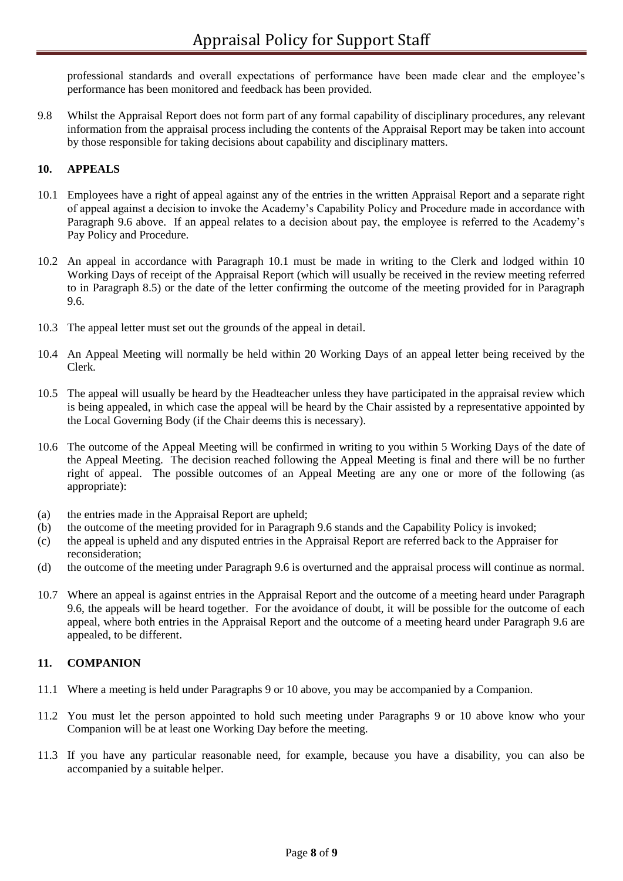professional standards and overall expectations of performance have been made clear and the employee's performance has been monitored and feedback has been provided.

9.8 Whilst the Appraisal Report does not form part of any formal capability of disciplinary procedures, any relevant information from the appraisal process including the contents of the Appraisal Report may be taken into account by those responsible for taking decisions about capability and disciplinary matters.

# **10. APPEALS**

- 10.1 Employees have a right of appeal against any of the entries in the written Appraisal Report and a separate right of appeal against a decision to invoke the Academy's Capability Policy and Procedure made in accordance with Paragraph 9.6 above. If an appeal relates to a decision about pay, the employee is referred to the Academy's Pay Policy and Procedure.
- 10.2 An appeal in accordance with Paragraph 10.1 must be made in writing to the Clerk and lodged within 10 Working Days of receipt of the Appraisal Report (which will usually be received in the review meeting referred to in Paragraph 8.5) or the date of the letter confirming the outcome of the meeting provided for in Paragraph 9.6.
- 10.3 The appeal letter must set out the grounds of the appeal in detail.
- 10.4 An Appeal Meeting will normally be held within 20 Working Days of an appeal letter being received by the Clerk.
- 10.5 The appeal will usually be heard by the Headteacher unless they have participated in the appraisal review which is being appealed, in which case the appeal will be heard by the Chair assisted by a representative appointed by the Local Governing Body (if the Chair deems this is necessary).
- 10.6 The outcome of the Appeal Meeting will be confirmed in writing to you within 5 Working Days of the date of the Appeal Meeting. The decision reached following the Appeal Meeting is final and there will be no further right of appeal. The possible outcomes of an Appeal Meeting are any one or more of the following (as appropriate):
- (a) the entries made in the Appraisal Report are upheld;
- (b) the outcome of the meeting provided for in Paragraph 9.6 stands and the Capability Policy is invoked;
- (c) the appeal is upheld and any disputed entries in the Appraisal Report are referred back to the Appraiser for reconsideration;
- (d) the outcome of the meeting under Paragraph 9.6 is overturned and the appraisal process will continue as normal.
- 10.7 Where an appeal is against entries in the Appraisal Report and the outcome of a meeting heard under Paragraph 9.6, the appeals will be heard together. For the avoidance of doubt, it will be possible for the outcome of each appeal, where both entries in the Appraisal Report and the outcome of a meeting heard under Paragraph 9.6 are appealed, to be different.

#### **11. COMPANION**

- 11.1 Where a meeting is held under Paragraphs 9 or 10 above, you may be accompanied by a Companion.
- 11.2 You must let the person appointed to hold such meeting under Paragraphs 9 or 10 above know who your Companion will be at least one Working Day before the meeting.
- 11.3 If you have any particular reasonable need, for example, because you have a disability, you can also be accompanied by a suitable helper.